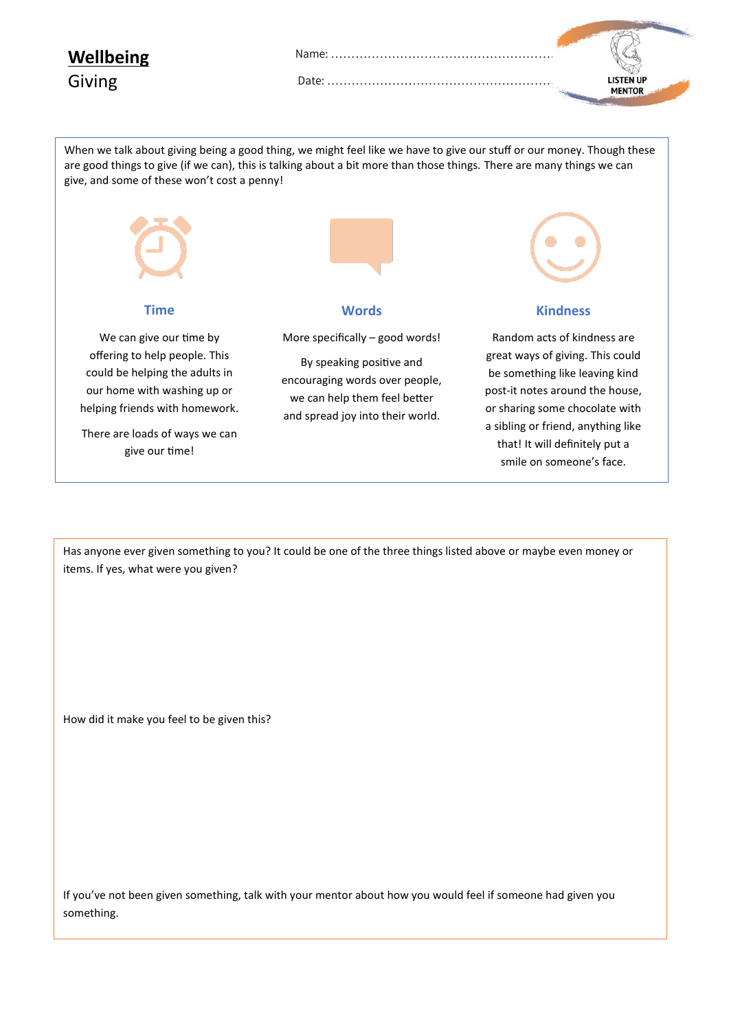**Wellbeing**

Giving

**MENTOR** 

When we talk about giving being a good thing, we might feel like we have to give our stuff or our money. Though these are good things to give (if we can), this is talking about a bit more than those things. There are many things we can give, and some of these won't cost a penny!

Date: ………………………………………………………….



Has anyone ever given something to you? It could be one of the three things listed above or maybe even money or items. If yes, what were you given?

How did it make you feel to be given this?

If you've not been given something, talk with your mentor about how you would feel if someone had given you something.